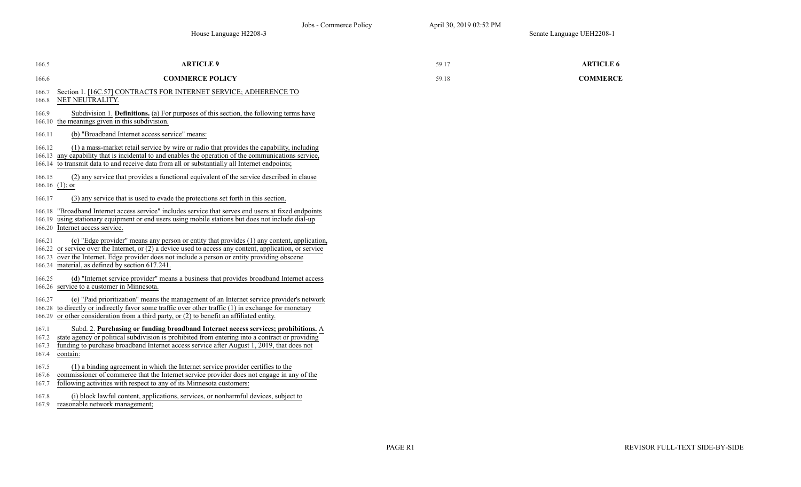| 166.5                            | <b>ARTICLE 9</b>                                                                                                                                                                                                                                                                                                                                           | 59.17 | <b>ARTICLE 6</b> |
|----------------------------------|------------------------------------------------------------------------------------------------------------------------------------------------------------------------------------------------------------------------------------------------------------------------------------------------------------------------------------------------------------|-------|------------------|
| 166.6                            | <b>COMMERCE POLICY</b>                                                                                                                                                                                                                                                                                                                                     | 59.18 | <b>COMMERCE</b>  |
| 166.7<br>166.8                   | Section 1. [16C.57] CONTRACTS FOR INTERNET SERVICE; ADHERENCE TO<br>NET NEUTRALITY.                                                                                                                                                                                                                                                                        |       |                  |
| 166.9<br>166.10                  | Subdivision 1. <b>Definitions.</b> (a) For purposes of this section, the following terms have<br>the meanings given in this subdivision.                                                                                                                                                                                                                   |       |                  |
| 166.11                           | (b) "Broadband Internet access service" means:                                                                                                                                                                                                                                                                                                             |       |                  |
| 166.12<br>166.14                 | (1) a mass-market retail service by wire or radio that provides the capability, including<br>166.13 any capability that is incidental to and enables the operation of the communications service,<br>to transmit data to and receive data from all or substantially all Internet endpoints;                                                                |       |                  |
| 166.15                           | (2) any service that provides a functional equivalent of the service described in clause<br>166.16 $(1)$ ; or                                                                                                                                                                                                                                              |       |                  |
| 166.17                           | (3) any service that is used to evade the protections set forth in this section.                                                                                                                                                                                                                                                                           |       |                  |
| 166.19                           | 166.18 "Broadband Internet access service" includes service that serves end users at fixed endpoints<br>using stationary equipment or end users using mobile stations but does not include dial-up<br>166.20 Internet access service.                                                                                                                      |       |                  |
| 166.21                           | (c) "Edge provider" means any person or entity that provides (1) any content, application,<br>166.22 or service over the Internet, or (2) a device used to access any content, application, or service<br>166.23 over the Internet. Edge provider does not include a person or entity providing obscene<br>166.24 material, as defined by section 617.241. |       |                  |
| 166.25                           | (d) "Internet service provider" means a business that provides broadband Internet access<br>166.26 service to a customer in Minnesota.                                                                                                                                                                                                                     |       |                  |
| 166.27<br>166.29                 | (e) "Paid prioritization" means the management of an Internet service provider's network<br>166.28 to directly or indirectly favor some traffic over other traffic (1) in exchange for monetary<br>or other consideration from a third party, or $(2)$ to benefit an affiliated entity.                                                                    |       |                  |
| 167.1<br>167.2<br>167.3<br>167.4 | Subd. 2. Purchasing or funding broadband Internet access services; prohibitions. A<br>state agency or political subdivision is prohibited from entering into a contract or providing<br>funding to purchase broadband Internet access service after August 1, 2019, that does not<br>contain:                                                              |       |                  |
| 167.5<br>167.6<br>167.7          | (1) a binding agreement in which the Internet service provider certifies to the<br>commissioner of commerce that the Internet service provider does not engage in any of the<br>following activities with respect to any of its Minnesota customers:                                                                                                       |       |                  |
| 167.8                            | (i) block lawful content, applications, services, or nonharmful devices, subject to                                                                                                                                                                                                                                                                        |       |                  |

167.9 reasonable network management;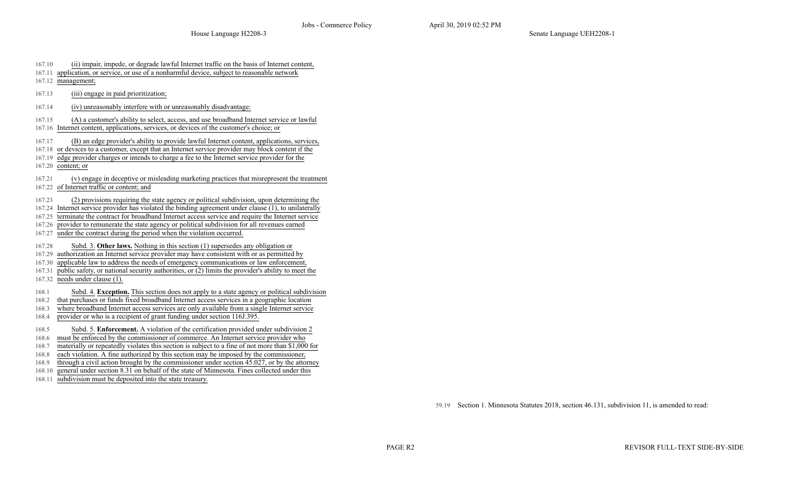- 167.10 (ii) impair, impede, or degrade lawful Internet traffic on the basis of Internet content, 167.11 application, or service, or use of a nonharmful device, subject to reasonable network 167.12 management; 167.13 (iii) engage in paid prioritization; 167.14 (iv) unreasonably interfere with or unreasonably disadvantage: 167.15 (A) a customer's ability to select, access, and use broadband Internet service or lawful 167.16 Internet content, applications, services, or devices of the customer's choice; or 167.17 (B) an edge provider's ability to provide lawful Internet content, applications, services, 167.18 or devices to a customer, except that an Internet service provider may block content if the 167.19 edge provider charges or intends to charge a fee to the Internet service provider for the 167.20 content; or 167.21 (v) engage in deceptive or misleading marketing practices that misrepresent the treatment 167.22 of Internet traffic or content; and 167.23 (2) provisions requiring the state agency or political subdivision, upon determining the 167.24 Internet service provider has violated the binding agreement under clause (1), to unilaterally 167.25 terminate the contract for broadband Internet access service and require the Internet service 167.26 provider to remunerate the state agency or political subdivision for all revenues earned 167.27 under the contract during the period when the violation occurred. 167.28 Subd. 3. **Other laws.** Nothing in this section (1) supersedes any obligation or 167.29 authorization an Internet service provider may have consistent with or as permitted by 167.30 applicable law to address the needs of emergency communications or law enforcement, 167.31 public safety, or national security authorities, or (2) limits the provider's ability to meet the 167.32 needs under clause (1). 168.1 Subd. 4. **Exception.** This section does not apply to a state agency or political subdivision 168.2 that purchases or funds fixed broadband Internet access services in a geographic location 168.3 where broadband Internet access services are only available from a single Internet service 168.4 provider or who is a recipient of grant funding under section 116J.395. 168.5 Subd. 5. **Enforcement.** A violation of the certification provided under subdivision 2 168.6 must be enforced by the commissioner of commerce. An Internet service provider who 168.7 materially or repeatedly violates this section is subject to a fine of not more than \$1,000 for 168.8 each violation. A fine authorized by this section may be imposed by the commissioner, 168.9 through a civil action brought by the commissioner under section 45.027, or by the attorney
- 168.10 general under section 8.31 on behalf of the state of Minnesota. Fines collected under this
- 168.11 subdivision must be deposited into the state treasury.

59.19 Section 1. Minnesota Statutes 2018, section 46.131, subdivision 11, is amended to read: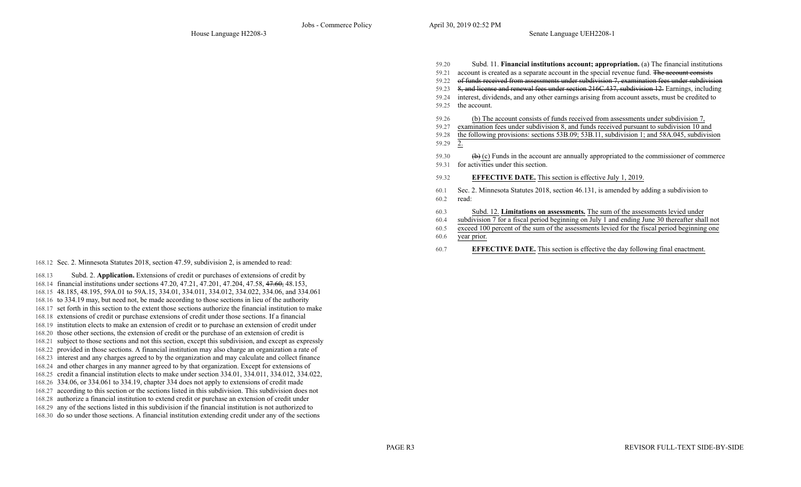| 59.20      | Subd. 11. Financial institutions account; appropriation. (a) The financial institutions              |
|------------|------------------------------------------------------------------------------------------------------|
| 59.21      | account is created as a separate account in the special revenue fund. The account consists           |
| 59.22      | of funds received from assessments under subdivision 7, examination fees under subdivision           |
| 59.23      | 8, and license and renewal fees under section 216C.437, subdivision 12. Earnings, including          |
| 59.24      | interest, dividends, and any other earnings arising from account assets, must be credited to         |
| 59.25      | the account.                                                                                         |
| 59.26      | (b) The account consists of funds received from assessments under subdivision 7,                     |
| 59.27      | examination fees under subdivision 8, and funds received pursuant to subdivision 10 and              |
| 59.28      | the following provisions: sections 53B.09; 53B.11, subdivision 1; and 58A.045, subdivision           |
| 59.29      | 2.                                                                                                   |
| 59.30      | $\leftrightarrow$ (c) Funds in the account are annually appropriated to the commissioner of commerce |
| 59.31      | for activities under this section.                                                                   |
| 59.32      | <b>EFFECTIVE DATE.</b> This section is effective July 1, 2019.                                       |
| 60.1       | Sec. 2. Minnesota Statutes 2018, section 46.131, is amended by adding a subdivision to               |
| 60.2       | read:                                                                                                |
| 60.3       | Subd. 12. Limitations on assessments. The sum of the assessments levied under                        |
| 60.4       | subdivision 7 for a fiscal period beginning on July 1 and ending June 30 thereafter shall not        |
| 60.5       | exceed 100 percent of the sum of the assessments levied for the fiscal period beginning one          |
| $\sqrt{2}$ |                                                                                                      |

- 60.6 year prior.
- 60.7 **EFFECTIVE DATE.** This section is effective the day following final enactment.

168.12 Sec. 2. Minnesota Statutes 2018, section 47.59, subdivision 2, is amended to read:

- 168.13 Subd. 2. **Application.** Extensions of credit or purchases of extensions of credit by
- 168.14 financial institutions under sections 47.20, 47.21, 47.201, 47.204, 47.58, 47.60, 48.153,
- 168.15 48.185, 48.195, 59A.01 to 59A.15, 334.01, 334.011, 334.012, 334.022, 334.06, and 334.061
- 168.16 to 334.19 may, but need not, be made according to those sections in lieu of the authority
- 168.17 set forth in this section to the extent those sections authorize the financial institution to make 168.18 extensions of credit or purchase extensions of credit under those sections. If a financial
- 168.19 institution elects to make an extension of credit or to purchase an extension of credit under
- 168.20 those other sections, the extension of credit or the purchase of an extension of credit is
- 168.21 subject to those sections and not this section, except this subdivision, and except as expressly
- 168.22 provided in those sections. A financial institution may also charge an organization a rate of
- 168.23 interest and any charges agreed to by the organization and may calculate and collect finance
- 168.24 and other charges in any manner agreed to by that organization. Except for extensions of
- 168.25 credit a financial institution elects to make under section 334.01, 334.011, 334.012, 334.022,
- 168.26 334.06, or 334.061 to 334.19, chapter 334 does not apply to extensions of credit made
- 168.27 according to this section or the sections listed in this subdivision. This subdivision does not
- 168.28 authorize a financial institution to extend credit or purchase an extension of credit under 168.29 any of the sections listed in this subdivision if the financial institution is not authorized to
- 168.30 do so under those sections. A financial institution extending credit under any of the sections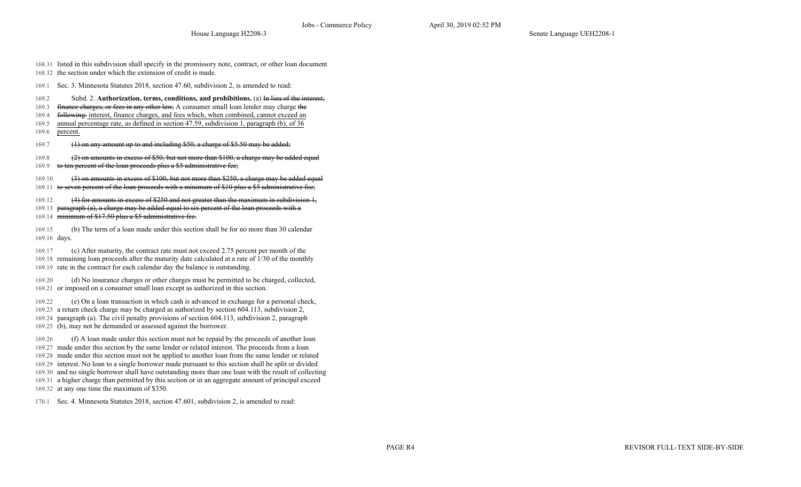168.31 listed in this subdivision shall specify in the promissory note, contract, or other loan document

168.32 the section under which the extension of credit is made.

169.1 Sec. 3. Minnesota Statutes 2018, section 47.60, subdivision 2, is amended to read:

- 169.2 Subd. 2. **Authorization, terms, conditions, and prohibitions.** (a) In lieu of the interest,
- 169.3 <del>finance charges, or fees in any other law,</del> A consumer small loan lender may charge the
- 169.4 following: interest, finance charges, and fees which, when combined, cannot exceed an
- 169.5 annual percentage rate, as defined in section 47.59, subdivision 1, paragraph (b), of 36 169.6 percent.
- 
- 169.7 (1) on any amount up to and including \$50, a charge of \$5.50 may be added;

169.8 (2) on amounts in excess of \$50, but not more than \$100, a charge may be added equal

169.9 to ten percent of the loan proceeds plus a \$5 administrative fee;

169.10 (3) on amounts in excess of \$100, but not more than \$250, a charge may be added equal

- 169.11 to seven percent of the loan proceeds with a minimum of \$10 plus a \$5 administrative fee;
- 169.12 (4) for amounts in excess of \$250 and not greater than the maximum in subdivision 1,
- 169.13 paragraph (a), a charge may be added equal to six percent of the loan proceeds with a
- $169.14$  minimum of \$17.50 plus a \$5 administrative fee.

169.15 (b) The term of a loan made under this section shall be for no more than 30 calendar 169.16 days.

169.17 (c) After maturity, the contract rate must not exceed 2.75 percent per month of the 169.18 remaining loan proceeds after the maturity date calculated at a rate of 1/30 of the monthly 169.19 rate in the contract for each calendar day the balance is outstanding.

169.20 (d) No insurance charges or other charges must be permitted to be charged, collected, 169.21 or imposed on a consumer small loan except as authorized in this section.

169.22 (e) On a loan transaction in which cash is advanced in exchange for a personal check,

169.23 a return check charge may be charged as authorized by section 604.113, subdivision 2,

- 169.24 paragraph (a). The civil penalty provisions of section 604.113, subdivision 2, paragraph
- 169.25 (b), may not be demanded or assessed against the borrower.

169.26 (f) A loan made under this section must not be repaid by the proceeds of another loan 169.27 made under this section by the same lender or related interest. The proceeds from a loan

- 169.28 made under this section must not be applied to another loan from the same lender or related
- 169.29 interest. No loan to a single borrower made pursuant to this section shall be split or divided
- 169.30 and no single borrower shall have outstanding more than one loan with the result of collecting
- 169.31 a higher charge than permitted by this section or in an aggregate amount of principal exceed
- 169.32 at any one time the maximum of \$350.

170.1 Sec. 4. Minnesota Statutes 2018, section 47.601, subdivision 2, is amended to read: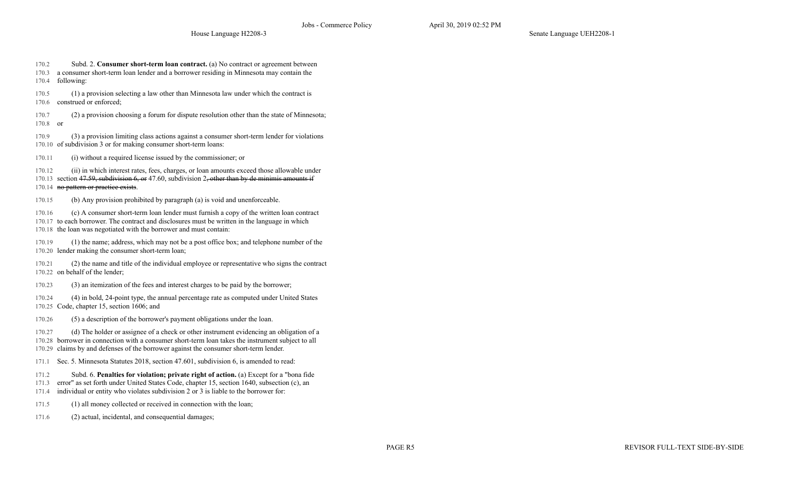House Language H2208-3 Senate Language UEH2208-1

170.2 Subd. 2. **Consumer short-term loan contract.** (a) No contract or agreement between 170.3 a consumer short-term loan lender and a borrower residing in Minnesota may contain the

170.4 following:

170.5 (1) a provision selecting a law other than Minnesota law under which the contract is 170.6 construed or enforced;

170.7 (2) a provision choosing a forum for dispute resolution other than the state of Minnesota; 170.8 or

170.9 (3) a provision limiting class actions against a consumer short-term lender for violations 170.10 of subdivision 3 or for making consumer short-term loans:

170.11 (i) without a required license issued by the commissioner; or

170.12 (ii) in which interest rates, fees, charges, or loan amounts exceed those allowable under 170.13 section  $47.59$ , subdivision 6, or 47.60, subdivision 2, other than by de minimis amounts if 170.14 no pattern or practice exists.

170.15 (b) Any provision prohibited by paragraph (a) is void and unenforceable.

170.16 (c) A consumer short-term loan lender must furnish a copy of the written loan contract 170.17 to each borrower. The contract and disclosures must be written in the language in which 170.18 the loan was negotiated with the borrower and must contain:

170.19 (1) the name; address, which may not be a post office box; and telephone number of the 170.20 lender making the consumer short-term loan;

170.21 (2) the name and title of the individual employee or representative who signs the contract 170.22 on behalf of the lender;

170.23 (3) an itemization of the fees and interest charges to be paid by the borrower;

170.24 (4) in bold, 24-point type, the annual percentage rate as computed under United States 170.25 Code, chapter 15, section 1606; and

170.26 (5) a description of the borrower's payment obligations under the loan.

170.27 (d) The holder or assignee of a check or other instrument evidencing an obligation of a 170.28 borrower in connection with a consumer short-term loan takes the instrument subject to all 170.29 claims by and defenses of the borrower against the consumer short-term lender.

171.1 Sec. 5. Minnesota Statutes 2018, section 47.601, subdivision 6, is amended to read:

171.2 Subd. 6. **Penalties for violation; private right of action.** (a) Except for a "bona fide

171.3 error" as set forth under United States Code, chapter 15, section 1640, subsection (c), an

171.4 individual or entity who violates subdivision 2 or 3 is liable to the borrower for:

- 171.5 (1) all money collected or received in connection with the loan;
- 171.6 (2) actual, incidental, and consequential damages;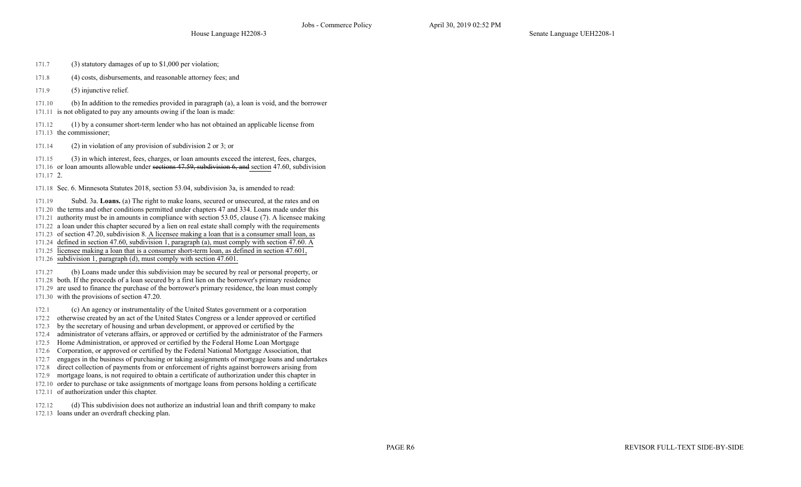- 171.7 (3) statutory damages of up to \$1,000 per violation;
- 171.8 (4) costs, disbursements, and reasonable attorney fees; and
- 171.9 (5) injunctive relief.

171.10 (b) In addition to the remedies provided in paragraph (a), a loan is void, and the borrower 171.11 is not obligated to pay any amounts owing if the loan is made:

171.12 (1) by a consumer short-term lender who has not obtained an applicable license from 171.13 the commissioner;

171.14 (2) in violation of any provision of subdivision 2 or 3; or

171.15 (3) in which interest, fees, charges, or loan amounts exceed the interest, fees, charges, 171.16 or loan amounts allowable under sections 47.59, subdivision 6, and section 47.60, subdivision

171.17 2.

171.18 Sec. 6. Minnesota Statutes 2018, section 53.04, subdivision 3a, is amended to read:

171.19 Subd. 3a. **Loans.** (a) The right to make loans, secured or unsecured, at the rates and on

171.20 the terms and other conditions permitted under chapters 47 and 334. Loans made under this

171.21 authority must be in amounts in compliance with section 53.05, clause (7). A licensee making

- 171.22 a loan under this chapter secured by a lien on real estate shall comply with the requirements 171.23 of section 47.20, subdivision 8. A licensee making a loan that is a consumer small loan, as
- 171.24 defined in section 47.60, subdivision 1, paragraph (a), must comply with section 47.60. A
- 171.25 licensee making a loan that is a consumer short-term loan, as defined in section 47.601,
- 171.26 subdivision 1, paragraph (d), must comply with section 47.601.

171.27 (b) Loans made under this subdivision may be secured by real or personal property, or

171.28 both. If the proceeds of a loan secured by a first lien on the borrower's primary residence

171.29 are used to finance the purchase of the borrower's primary residence, the loan must comply 171.30 with the provisions of section 47.20.

172.1 (c) An agency or instrumentality of the United States government or a corporation

- 172.2 otherwise created by an act of the United States Congress or a lender approved or certified
- 172.3 by the secretary of housing and urban development, or approved or certified by the
- 172.4 administrator of veterans affairs, or approved or certified by the administrator of the Farmers
- 172.5 Home Administration, or approved or certified by the Federal Home Loan Mortgage
- 172.6 Corporation, or approved or certified by the Federal National Mortgage Association, that
- 172.7 engages in the business of purchasing or taking assignments of mortgage loans and undertakes
- 172.8 direct collection of payments from or enforcement of rights against borrowers arising from
- 172.9 mortgage loans, is not required to obtain a certificate of authorization under this chapter in
- 172.10 order to purchase or take assignments of mortgage loans from persons holding a certificate
- 172.11 of authorization under this chapter.
- 172.12 (d) This subdivision does not authorize an industrial loan and thrift company to make
- 172.13 loans under an overdraft checking plan.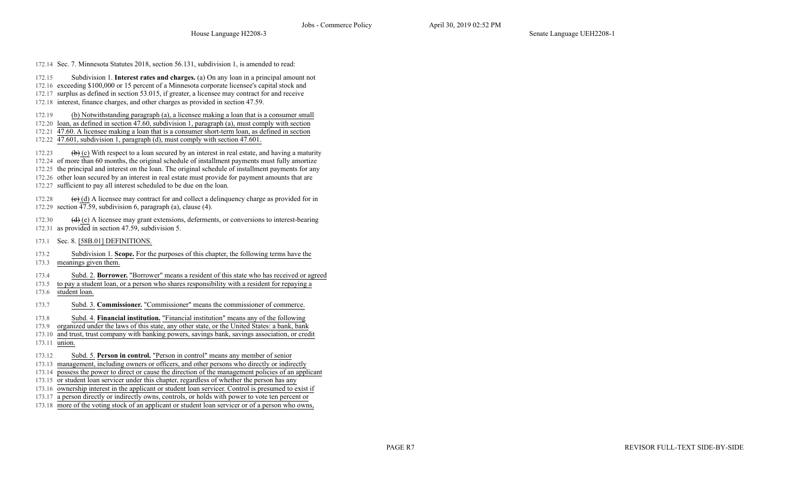172.14 Sec. 7. Minnesota Statutes 2018, section 56.131, subdivision 1, is amended to read:

172.15 Subdivision 1. **Interest rates and charges.** (a) On any loan in a principal amount not

172.16 exceeding \$100,000 or 15 percent of a Minnesota corporate licensee's capital stock and

172.17 surplus as defined in section 53.015, if greater, a licensee may contract for and receive

172.18 interest, finance charges, and other charges as provided in section 47.59.

172.19 (b) Notwithstanding paragraph (a), a licensee making a loan that is a consumer small

172.20 loan, as defined in section 47.60, subdivision 1, paragraph (a), must comply with section

172.21 47.60. A licensee making a loan that is a consumer short-term loan, as defined in section

172.22 47.601, subdivision 1, paragraph (d), must comply with section 47.601.

172.23 (b) (c) With respect to a loan secured by an interest in real estate, and having a maturity 172.24 of more than 60 months, the original schedule of installment payments must fully amortize 172.25 the principal and interest on the loan. The original schedule of installment payments for any 172.26 other loan secured by an interest in real estate must provide for payment amounts that are 172.27 sufficient to pay all interest scheduled to be due on the loan.

172.28 (e) (d) A licensee may contract for and collect a delinquency charge as provided for in 172.29 section  $\overline{47.59}$ , subdivision 6, paragraph (a), clause (4).

172.30 (d) (e) A licensee may grant extensions, deferments, or conversions to interest-bearing 172.31 as provided in section 47.59, subdivision 5.

- 173.1 Sec. 8. [58B.01] DEFINITIONS.
- 173.2 Subdivision 1. **Scope.** For the purposes of this chapter, the following terms have the
- 173.3 meanings given them.
- 173.4 Subd. 2. **Borrower.** "Borrower" means a resident of this state who has received or agreed
- 173.5 to pay a student loan, or a person who shares responsibility with a resident for repaying a
- 173.6 student loan.
- 173.7 Subd. 3. **Commissioner.** "Commissioner" means the commissioner of commerce.
- 173.8 Subd. 4. **Financial institution.** "Financial institution" means any of the following
- 173.9 organized under the laws of this state, any other state, or the United States: a bank, bank
- 173.10 and trust, trust company with banking powers, savings bank, savings association, or credit
- 173.11 union.
- 173.12 Subd. 5. **Person in control.** "Person in control" means any member of senior
- 173.13 management, including owners or officers, and other persons who directly or indirectly
- 173.14 possess the power to direct or cause the direction of the management policies of an applicant
- 173.15 or student loan servicer under this chapter, regardless of whether the person has any
- 173.16 ownership interest in the applicant or student loan servicer. Control is presumed to exist if
- 173.17 a person directly or indirectly owns, controls, or holds with power to vote ten percent or
- 173.18 more of the voting stock of an applicant or student loan servicer or of a person who owns,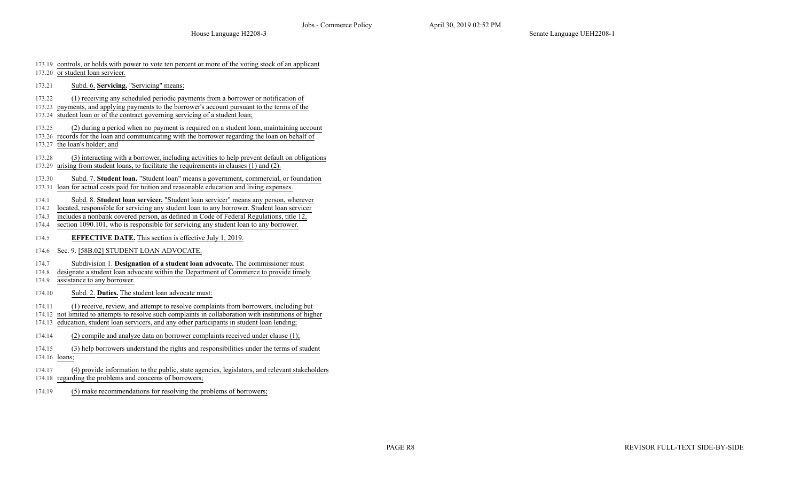- 173.19 controls, or holds with power to vote ten percent or more of the voting stock of an applicant
- 173.20 or student loan servicer.
- 173.21 Subd. 6. **Servicing.** "Servicing" means:
- 173.22 (1) receiving any scheduled periodic payments from a borrower or notification of
- 173.23 payments, and applying payments to the borrower's account pursuant to the terms of the
- 173.24 student loan or of the contract governing servicing of a student loan;
- 173.25 (2) during a period when no payment is required on a student loan, maintaining account
- 173.26 records for the loan and communicating with the borrower regarding the loan on behalf of
- 173.27 the loan's holder; and
- 173.28 (3) interacting with a borrower, including activities to help prevent default on obligations
- 173.29 arising from student loans, to facilitate the requirements in clauses (1) and (2).
- 173.30 Subd. 7. **Student loan.** "Student loan" means a government, commercial, or foundation
- 173.31 loan for actual costs paid for tuition and reasonable education and living expenses.
- 174.1 Subd. 8. **Student loan servicer.** "Student loan servicer" means any person, wherever
- 174.2 located, responsible for servicing any student loan to any borrower. Student loan servicer
- 174.3 includes a nonbank covered person, as defined in Code of Federal Regulations, title 12,
- 174.4 section 1090.101, who is responsible for servicing any student loan to any borrower.
- 174.5 **EFFECTIVE DATE.** This section is effective July 1, 2019.
- 174.6 Sec. 9. [58B.02] STUDENT LOAN ADVOCATE.
- 174.7 Subdivision 1. **Designation of a student loan advocate.** The commissioner must
- 174.8 designate a student loan advocate within the Department of Commerce to provide timely
- 174.9 assistance to any borrower.
- 174.10 Subd. 2. **Duties.** The student loan advocate must:
- 174.11 (1) receive, review, and attempt to resolve complaints from borrowers, including but
- 174.12 not limited to attempts to resolve such complaints in collaboration with institutions of higher
- 174.13 education, student loan servicers, and any other participants in student loan lending;
- 174.14 (2) compile and analyze data on borrower complaints received under clause (1);
- 174.15 (3) help borrowers understand the rights and responsibilities under the terms of student 174.16 loans;
- 174.17 (4) provide information to the public, state agencies, legislators, and relevant stakeholders
- 174.18 regarding the problems and concerns of borrowers;
- 174.19 (5) make recommendations for resolving the problems of borrowers;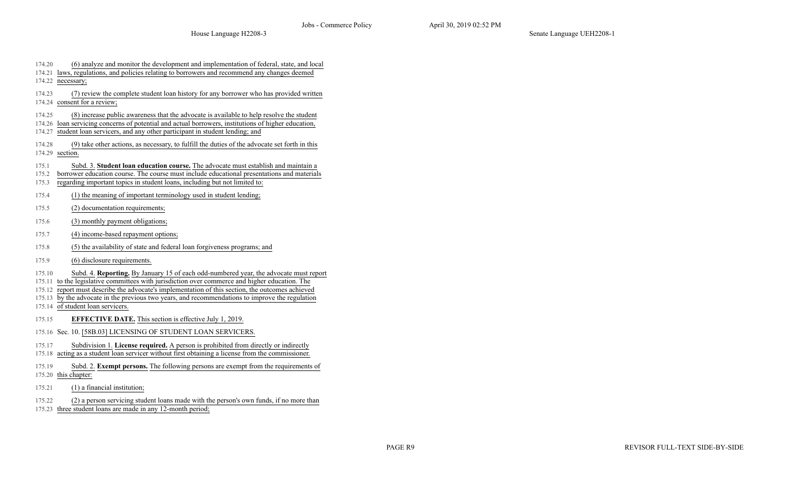- 174.20 (6) analyze and monitor the development and implementation of federal, state, and local 174.21 laws, regulations, and policies relating to borrowers and recommend any changes deemed 174.22 necessary; 174.23 (7) review the complete student loan history for any borrower who has provided written 174.24 consent for a review; 174.25 (8) increase public awareness that the advocate is available to help resolve the student 174.26 loan servicing concerns of potential and actual borrowers, institutions of higher education, 174.27 student loan servicers, and any other participant in student lending; and 174.28 (9) take other actions, as necessary, to fulfill the duties of the advocate set forth in this 174.29 section. 175.1 Subd. 3. **Student loan education course.** The advocate must establish and maintain a 175.2 borrower education course. The course must include educational presentations and materials 175.3 regarding important topics in student loans, including but not limited to: 175.4 (1) the meaning of important terminology used in student lending; 175.5 (2) documentation requirements; 175.6 (3) monthly payment obligations; 175.7 (4) income-based repayment options; 175.8 (5) the availability of state and federal loan forgiveness programs; and 175.9 (6) disclosure requirements. 175.10 Subd. 4. **Reporting.** By January 15 of each odd-numbered year, the advocate must report 175.11 to the legislative committees with jurisdiction over commerce and higher education. The 175.12 report must describe the advocate's implementation of this section, the outcomes achieved 175.13 by the advocate in the previous two years, and recommendations to improve the regulation 175.14 of student loan servicers. 175.15 **EFFECTIVE DATE.** This section is effective July 1, 2019. 175.16 Sec. 10. [58B.03] LICENSING OF STUDENT LOAN SERVICERS. 175.17 Subdivision 1. **License required.** A person is prohibited from directly or indirectly 175.18 acting as a student loan servicer without first obtaining a license from the commissioner. 175.19 Subd. 2. **Exempt persons.** The following persons are exempt from the requirements of 175.20 this chapter: 175.21 (1) a financial institution; 175.22 (2) a person servicing student loans made with the person's own funds, if no more than
- 175.23 three student loans are made in any 12-month period;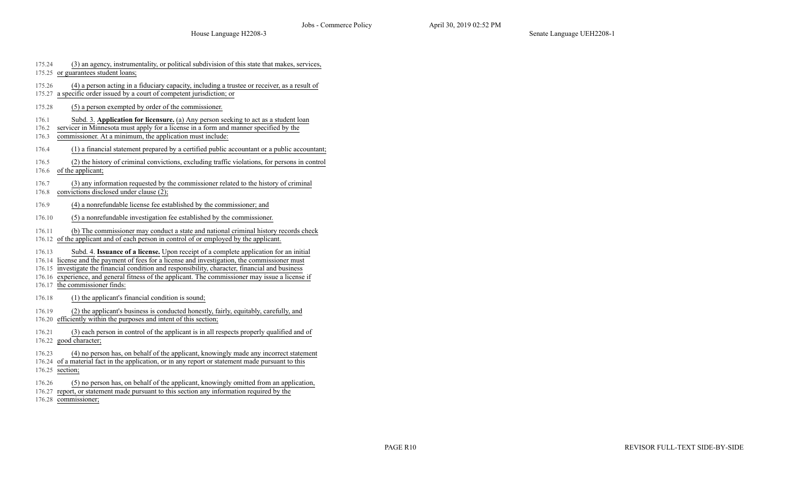| 175.24 | (3) an agency, instrumentality, or political subdivision of this state that makes, services, |
|--------|----------------------------------------------------------------------------------------------|
|        | 175.25 or guarantees student loans;                                                          |
| 175.26 | (4) a person acting in a fiduciary capacity, including a trustee or receiver, as a result of |
|        | 175.27 a specific order issued by a court of competent jurisdiction; or                      |

- 175.28 (5) a person exempted by order of the commissioner.
- 176.1 Subd. 3. **Application for licensure.** (a) Any person seeking to act as a student loan
- 176.2 servicer in Minnesota must apply for a license in a form and manner specified by the
- 176.3 commissioner. At a minimum, the application must include:
- 176.4 (1) a financial statement prepared by a certified public accountant or a public accountant;
- 176.5 (2) the history of criminal convictions, excluding traffic violations, for persons in control
- 176.6 of the applicant;
- 176.7 (3) any information requested by the commissioner related to the history of criminal
- 176.8 convictions disclosed under clause (2);
- 176.9 (4) a nonrefundable license fee established by the commissioner; and
- 176.10 (5) a nonrefundable investigation fee established by the commissioner.
- 176.11 (b) The commissioner may conduct a state and national criminal history records check
- 176.12 of the applicant and of each person in control of or employed by the applicant.
- 176.13 Subd. 4. **Issuance of a license.** Upon receipt of a complete application for an initial
- 176.14 license and the payment of fees for a license and investigation, the commissioner must
- 176.15 investigate the financial condition and responsibility, character, financial and business
- 176.16 experience, and general fitness of the applicant. The commissioner may issue a license if
- 176.17 the commissioner finds:
- 176.18 (1) the applicant's financial condition is sound;
- 176.19 (2) the applicant's business is conducted honestly, fairly, equitably, carefully, and
- 176.20 efficiently within the purposes and intent of this section;
- 176.21 (3) each person in control of the applicant is in all respects properly qualified and of 176.22 good character;
- 176.23 (4) no person has, on behalf of the applicant, knowingly made any incorrect statement
- 176.24 of a material fact in the application, or in any report or statement made pursuant to this
- 176.25 section;
- 176.26 (5) no person has, on behalf of the applicant, knowingly omitted from an application,
- 176.27 report, or statement made pursuant to this section any information required by the
- 176.28 commissioner;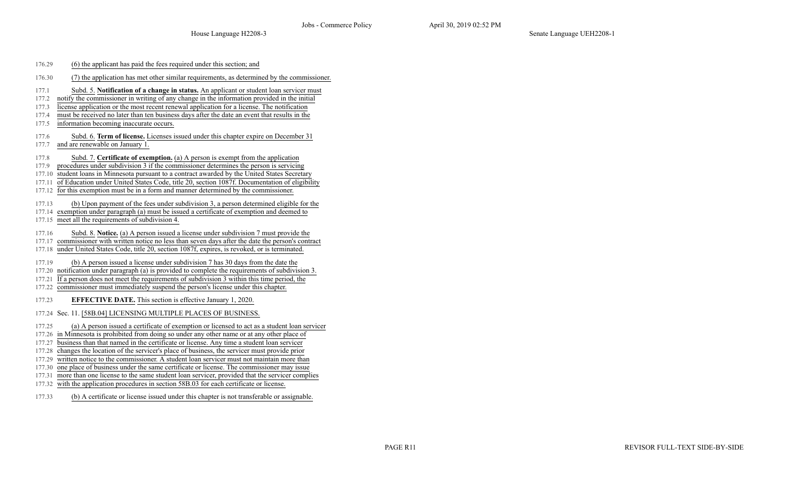- 176.29 (6) the applicant has paid the fees required under this section; and
- 176.30 (7) the application has met other similar requirements, as determined by the commissioner.
- 177.1 Subd. 5. **Notification of a change in status.** An applicant or student loan servicer must
- 177.2 notify the commissioner in writing of any change in the information provided in the initial
- 177.3 license application or the most recent renewal application for a license. The notification
- 177.4 must be received no later than ten business days after the date an event that results in the
- 177.5 information becoming inaccurate occurs.
- 177.6 Subd. 6. **Term of license.** Licenses issued under this chapter expire on December 31
- 177.7 and are renewable on January 1
- 177.8 Subd. 7. **Certificate of exemption.** (a) A person is exempt from the application
- 177.9 procedures under subdivision 3 if the commissioner determines the person is servicing
- 177.10 student loans in Minnesota pursuant to a contract awarded by the United States Secretary
- 177.11 of Education under United States Code, title 20, section 1087f. Documentation of eligibility
- 177.12 for this exemption must be in a form and manner determined by the commissioner.
- 177.13 (b) Upon payment of the fees under subdivision 3, a person determined eligible for the
- 177.14 exemption under paragraph (a) must be issued a certificate of exemption and deemed to
- 177.15 meet all the requirements of subdivision 4.
- 177.16 Subd. 8. **Notice.** (a) A person issued a license under subdivision 7 must provide the
- 177.17 commissioner with written notice no less than seven days after the date the person's contract
- 177.18 under United States Code, title 20, section 1087f, expires, is revoked, or is terminated.
- 177.19 (b) A person issued a license under subdivision 7 has 30 days from the date the
- 177.20 notification under paragraph (a) is provided to complete the requirements of subdivision 3.
- 177.21 If a person does not meet the requirements of subdivision 3 within this time period, the
- 177.22 commissioner must immediately suspend the person's license under this chapter.
- 177.23 **EFFECTIVE DATE.** This section is effective January 1, 2020.
- 177.24 Sec. 11. [58B.04] LICENSING MULTIPLE PLACES OF BUSINESS.
- 177.25 (a) A person issued a certificate of exemption or licensed to act as a student loan servicer
- 177.26 in Minnesota is prohibited from doing so under any other name or at any other place of
- 177.27 business than that named in the certificate or license. Any time a student loan servicer
- 177.28 changes the location of the servicer's place of business, the servicer must provide prior
- 177.29 written notice to the commissioner. A student loan servicer must not maintain more than
- 177.30 one place of business under the same certificate or license. The commissioner may issue
- 177.31 more than one license to the same student loan servicer, provided that the servicer complies 177.32 with the application procedures in section 58B.03 for each certificate or license.
- 
- 177.33 (b) A certificate or license issued under this chapter is not transferable or assignable.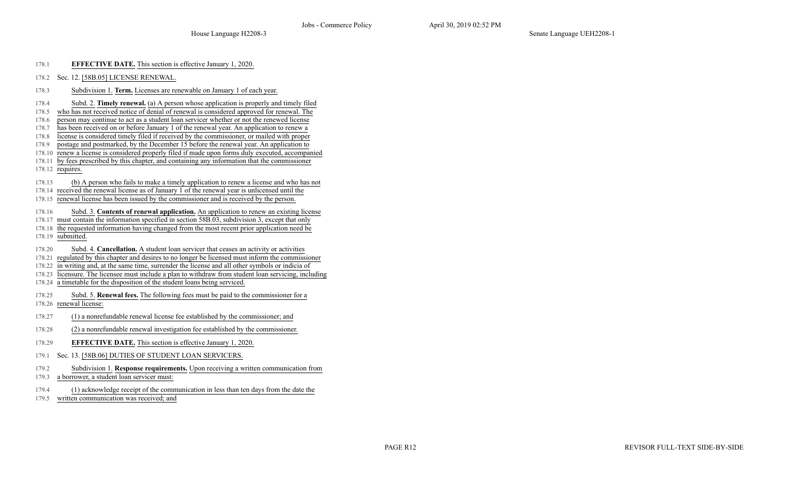- 178.1 **EFFECTIVE DATE.** This section is effective January 1, 2020.
- 178.2 Sec. 12. [58B.05] LICENSE RENEWAL.
- 178.3 Subdivision 1. **Term.** Licenses are renewable on January 1 of each year.
- 178.4 Subd. 2. **Timely renewal.** (a) A person whose application is properly and timely filed
- 178.5 who has not received notice of denial of renewal is considered approved for renewal. The
- 178.6 person may continue to act as a student loan servicer whether or not the renewed license
- 178.7 has been received on or before January 1 of the renewal year. An application to renew a
- 178.8 license is considered timely filed if received by the commissioner, or mailed with proper
- 178.9 postage and postmarked, by the December 15 before the renewal year. An application to
- 178.10 renew a license is considered properly filed if made upon forms duly executed, accompanied
- 178.11 by fees prescribed by this chapter, and containing any information that the commissioner
- 178.12 requires.
- 178.13 (b) A person who fails to make a timely application to renew a license and who has not
- 178.14 received the renewal license as of January 1 of the renewal year is unlicensed until the
- 178.15 renewal license has been issued by the commissioner and is received by the person.
- 178.16 Subd. 3. **Contents of renewal application.** An application to renew an existing license
- 178.17 must contain the information specified in section 58B.03, subdivision 3, except that only
- 178.18 the requested information having changed from the most recent prior application need be
- 178.19 submitted.
- 178.20 Subd. 4. **Cancellation.** A student loan servicer that ceases an activity or activities
- 178.21 regulated by this chapter and desires to no longer be licensed must inform the commissioner
- 178.22 in writing and, at the same time, surrender the license and all other symbols or indicia of
- 178.23 licensure. The licensee must include a plan to withdraw from student loan servicing, including
- 178.24 a timetable for the disposition of the student loans being serviced.
- 178.25 Subd. 5. **Renewal fees.** The following fees must be paid to the commissioner for a 178.26 renewal license:
- 178.27 (1) a nonrefundable renewal license fee established by the commissioner; and
- 178.28 (2) a nonrefundable renewal investigation fee established by the commissioner.
- 178.29 **EFFECTIVE DATE.** This section is effective January 1, 2020.
- 179.1 Sec. 13. [58B.06] DUTIES OF STUDENT LOAN SERVICERS.
- 179.2 Subdivision 1. **Response requirements.** Upon receiving a written communication from
- 179.3 a borrower, a student loan servicer must:
- 179.4 (1) acknowledge receipt of the communication in less than ten days from the date the
- 179.5 written communication was received; and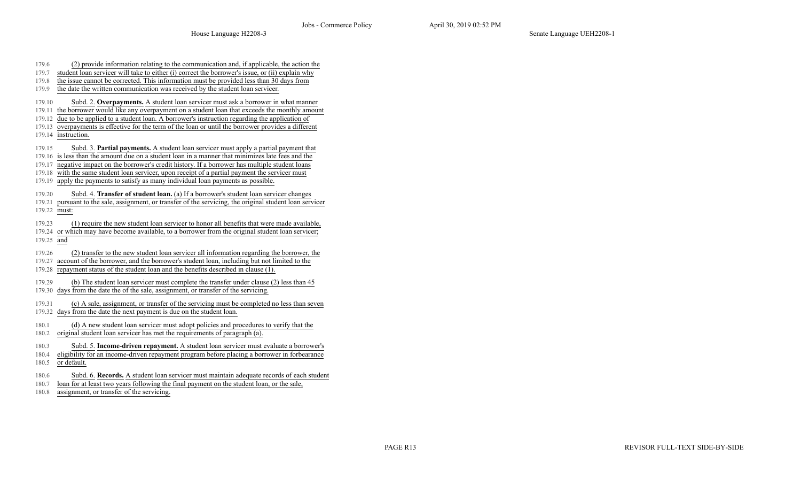| 179.6        | (2) provide information relating to the communication and, if applicable, the action the                  |
|--------------|-----------------------------------------------------------------------------------------------------------|
| 179.7        | student loan servicer will take to either (i) correct the borrower's issue, or (ii) explain why           |
| 179.8        | the issue cannot be corrected. This information must be provided less than 30 days from                   |
| 179.9        | the date the written communication was received by the student loan servicer.                             |
| 179.10       | Subd. 2. Overpayments. A student loan servicer must ask a borrower in what manner                         |
| 179.11       | the borrower would like any overpayment on a student loan that exceeds the monthly amount                 |
| 179.12       | due to be applied to a student loan. A borrower's instruction regarding the application of                |
| 179.13       | overpayments is effective for the term of the loan or until the borrower provides a different             |
| 179.14       | instruction.                                                                                              |
| 179.15       | Subd. 3. Partial payments. A student loan servicer must apply a partial payment that                      |
| 179.16       | is less than the amount due on a student loan in a manner that minimizes late fees and the                |
| 179.17       | negative impact on the borrower's credit history. If a borrower has multiple student loans                |
| 179.18       | with the same student loan servicer, upon receipt of a partial payment the servicer must                  |
| 179.19       | apply the payments to satisfy as many individual loan payments as possible.                               |
| 179.20       | Subd. 4. Transfer of student loan. (a) If a borrower's student loan servicer changes                      |
|              | 179.21 pursuant to the sale, assignment, or transfer of the servicing, the original student loan servicer |
| 179.22 must: |                                                                                                           |
| 179.23       | (1) require the new student loan servicer to honor all benefits that were made available,                 |
| 179.24       | or which may have become available, to a borrower from the original student loan servicer;                |
| 179.25 and   |                                                                                                           |
| 179.26       | (2) transfer to the new student loan servicer all information regarding the borrower, the                 |
| 179.27       | account of the borrower, and the borrower's student loan, including but not limited to the                |
| 179.28       | repayment status of the student loan and the benefits described in clause (1).                            |
| 179.29       | (b) The student loan servicer must complete the transfer under clause (2) less than 45                    |
| 179.30       | days from the date the of the sale, assignment, or transfer of the servicing.                             |
|              |                                                                                                           |
| 179.31       | (c) A sale, assignment, or transfer of the servicing must be completed no less than seven                 |
| 179.32       | days from the date the next payment is due on the student loan.                                           |
| 180.1        | (d) A new student loan servicer must adopt policies and procedures to verify that the                     |
| 180.2        | original student loan servicer has met the requirements of paragraph (a).                                 |
| 180.3        | Subd. 5. Income-driven repayment. A student loan servicer must evaluate a borrower's                      |
| 180.4        | eligibility for an income-driven repayment program before placing a borrower in forbearance               |
| 180.5        | or default.                                                                                               |
| 180.6        | Subd. 6. Records. A student loan servicer must maintain adequate records of each student                  |
| 180.7        | loan for at least two years following the final payment on the student loan, or the sale,                 |
| 180.8        | assignment, or transfer of the servicing.                                                                 |

PAGE R13 REVISOR FULL-TEXT SIDE-BY-SIDE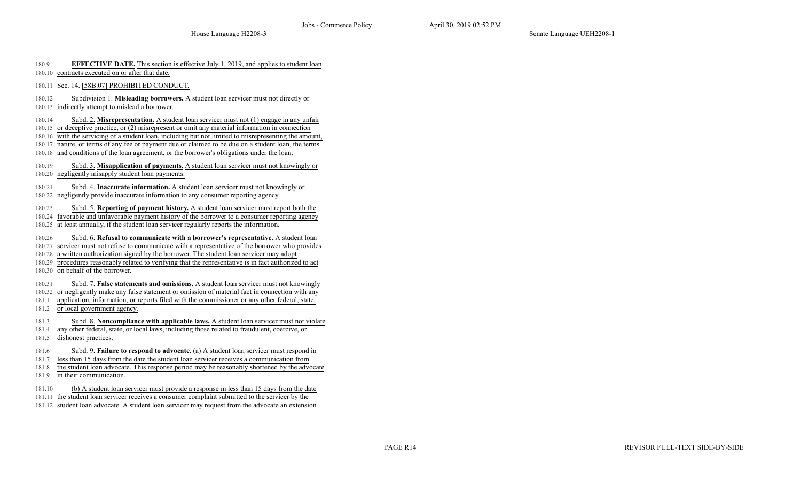| <b>EFFECTIVE DATE.</b> This section is effective July 1, 2019, and applies to student loan | 180.9 |  |  |  |  |  |  |
|--------------------------------------------------------------------------------------------|-------|--|--|--|--|--|--|
|--------------------------------------------------------------------------------------------|-------|--|--|--|--|--|--|

- 180.10 contracts executed on or after that date.
- 180.11 Sec. 14. [58B.07] PROHIBITED CONDUCT.
- 180.12 Subdivision 1. **Misleading borrowers.** A student loan servicer must not directly or
- 180.13 indirectly attempt to mislead a borrower.
- 180.14 Subd. 2. **Misrepresentation.** A student loan servicer must not (1) engage in any unfair
- 180.15 or deceptive practice, or (2) misrepresent or omit any material information in connection
- 180.16 with the servicing of a student loan, including but not limited to misrepresenting the amount,
- 180.17 nature, or terms of any fee or payment due or claimed to be due on a student loan, the terms
- 180.18 and conditions of the loan agreement, or the borrower's obligations under the loan.
- 180.19 Subd. 3. **Misapplication of payments.** A student loan servicer must not knowingly or 180.20 negligently misapply student loan payments.
- 180.21 Subd. 4. **Inaccurate information.** A student loan servicer must not knowingly or
- 180.22 negligently provide inaccurate information to any consumer reporting agency.
- 180.23 Subd. 5. **Reporting of payment history.** A student loan servicer must report both the
- 180.24 favorable and unfavorable payment history of the borrower to a consumer reporting agency 180.25 at least annually, if the student loan servicer regularly reports the information.
- 
- 180.26 Subd. 6. **Refusal to communicate with a borrower's representative.** A student loan
- 180.27 servicer must not refuse to communicate with a representative of the borrower who provides
- 180.28 a written authorization signed by the borrower. The student loan servicer may adopt
- 180.29 procedures reasonably related to verifying that the representative is in fact authorized to act
- 180.30 on behalf of the borrower.
- 180.31 Subd. 7. **False statements and omissions.** A student loan servicer must not knowingly
- 180.32 or negligently make any false statement or omission of material fact in connection with any
- 181.1 application, information, or reports filed with the commissioner or any other federal, state,
- 181.2 or local government agency.
- 181.3 Subd. 8. **Noncompliance with applicable laws.** A student loan servicer must not violate
- 181.4 any other federal, state, or local laws, including those related to fraudulent, coercive, or
- 181.5 dishonest practices.
- 181.6 Subd. 9. **Failure to respond to advocate.** (a) A student loan servicer must respond in
- 181.7 less than 15 days from the date the student loan servicer receives a communication from
- 181.8 the student loan advocate. This response period may be reasonably shortened by the advocate
- 181.9 in their communication.
- 181.10 (b) A student loan servicer must provide a response in less than 15 days from the date
- 181.11 the student loan servicer receives a consumer complaint submitted to the servicer by the
- 181.12 student loan advocate. A student loan servicer may request from the advocate an extension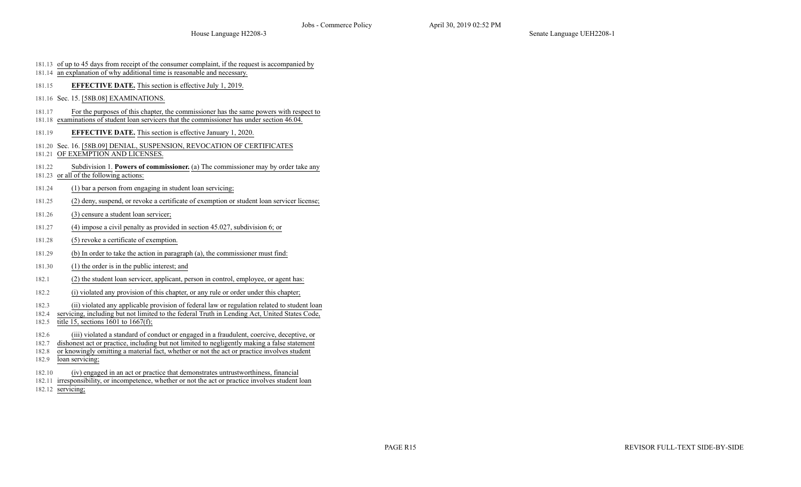- 181.13 of up to 45 days from receipt of the consumer complaint, if the request is accompanied by
- 181.14 an explanation of why additional time is reasonable and necessary.
- 181.15 **EFFECTIVE DATE.** This section is effective July 1, 2019.
- 181.16 Sec. 15. [58B.08] EXAMINATIONS.
- 181.17 For the purposes of this chapter, the commissioner has the same powers with respect to
- 181.18 examinations of student loan servicers that the commissioner has under section 46.04.
- 181.19 **EFFECTIVE DATE.** This section is effective January 1, 2020.
- 181.20 Sec. 16. [58B.09] DENIAL, SUSPENSION, REVOCATION OF CERTIFICATES
- 181.21 OF EXEMPTION AND LICENSES.
- 181.22 Subdivision 1. **Powers of commissioner.** (a) The commissioner may by order take any
- 181.23 or all of the following actions:
- 181.24 (1) bar a person from engaging in student loan servicing;
- 181.25 (2) deny, suspend, or revoke a certificate of exemption or student loan servicer license;
- 181.26 (3) censure a student loan servicer;
- 181.27 (4) impose a civil penalty as provided in section 45.027, subdivision 6; or
- 181.28 (5) revoke a certificate of exemption.
- 181.29 (b) In order to take the action in paragraph (a), the commissioner must find:
- 181.30 (1) the order is in the public interest; and
- 182.1 (2) the student loan servicer, applicant, person in control, employee, or agent has:
- 182.2 (i) violated any provision of this chapter, or any rule or order under this chapter;
- 182.3 (ii) violated any applicable provision of federal law or regulation related to student loan
- 182.4 servicing, including but not limited to the federal Truth in Lending Act, United States Code,
- 182.5 title 15, sections 1601 to  $1667(f)$ ;
- 182.6 (iii) violated a standard of conduct or engaged in a fraudulent, coercive, deceptive, or
- 182.7 dishonest act or practice, including but not limited to negligently making a false statement
- 182.8 or knowingly omitting a material fact, whether or not the act or practice involves student
- 182.9 loan servicing;
- 182.10 (iv) engaged in an act or practice that demonstrates untrustworthiness, financial
- 182.11 irresponsibility, or incompetence, whether or not the act or practice involves student loan
- 182.12 servicing;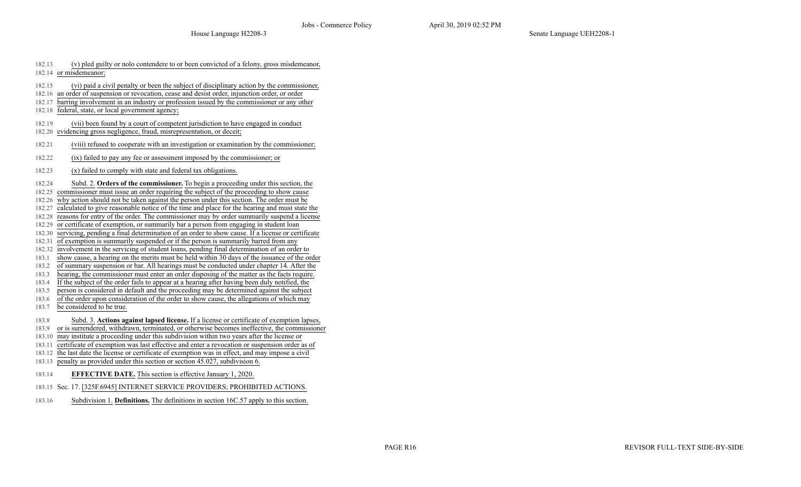| 182.13 | (v) pled guilty or nolo contendere to or been convicted of a felony, gross misdemeanor,                                                                                                      |
|--------|----------------------------------------------------------------------------------------------------------------------------------------------------------------------------------------------|
|        | 182.14 or misdemeanor;                                                                                                                                                                       |
| 182.15 |                                                                                                                                                                                              |
|        | (vi) paid a civil penalty or been the subject of disciplinary action by the commissioner,<br>182.16 an order of suspension or revocation, cease and desist order, injunction order, or order |
| 182.17 | barring involvement in an industry or profession issued by the commissioner or any other                                                                                                     |
| 182.18 | federal, state, or local government agency;                                                                                                                                                  |
|        |                                                                                                                                                                                              |
| 182.19 | (vii) been found by a court of competent jurisdiction to have engaged in conduct                                                                                                             |
|        | 182.20 evidencing gross negligence, fraud, misrepresentation, or deceit;                                                                                                                     |
| 182.21 | (viii) refused to cooperate with an investigation or examination by the commissioner;                                                                                                        |
| 182.22 | (ix) failed to pay any fee or assessment imposed by the commissioner; or                                                                                                                     |
| 182.23 | (x) failed to comply with state and federal tax obligations.                                                                                                                                 |
| 182.24 | Subd. 2. Orders of the commissioner. To begin a proceeding under this section, the                                                                                                           |
|        | 182.25 commissioner must issue an order requiring the subject of the proceeding to show cause                                                                                                |
|        | 182.26 why action should not be taken against the person under this section. The order must be                                                                                               |
| 182.27 | calculated to give reasonable notice of the time and place for the hearing and must state the                                                                                                |
| 182.28 | reasons for entry of the order. The commissioner may by order summarily suspend a license                                                                                                    |
| 182.29 | or certificate of exemption, or summarily bar a person from engaging in student loan                                                                                                         |
|        | 182.30 servicing, pending a final determination of an order to show cause. If a license or certificate                                                                                       |
|        | 182.31 of exemption is summarily suspended or if the person is summarily barred from any                                                                                                     |
| 182.32 | involvement in the servicing of student loans, pending final determination of an order to                                                                                                    |
| 183.1  | show cause, a hearing on the merits must be held within 30 days of the issuance of the order                                                                                                 |
| 183.2  | of summary suspension or bar. All hearings must be conducted under chapter 14. After the                                                                                                     |
| 183.3  | hearing, the commissioner must enter an order disposing of the matter as the facts require.                                                                                                  |
| 183.4  | If the subject of the order fails to appear at a hearing after having been duly notified, the                                                                                                |
| 183.5  | person is considered in default and the proceeding may be determined against the subject                                                                                                     |
| 183.6  | of the order upon consideration of the order to show cause, the allegations of which may                                                                                                     |
| 183.7  | be considered to be true.                                                                                                                                                                    |
| 183.8  | Subd. 3. Actions against lapsed license. If a license or certificate of exemption lapses,                                                                                                    |
| 183.9  | or is surrendered, withdrawn, terminated, or otherwise becomes ineffective, the commissioner                                                                                                 |
| 183.10 | may institute a proceeding under this subdivision within two years after the license or                                                                                                      |
| 183.11 | certificate of exemption was last effective and enter a revocation or suspension order as of                                                                                                 |
| 183.12 | the last date the license or certificate of exemption was in effect, and may impose a civil                                                                                                  |
| 183.13 | penalty as provided under this section or section 45.027, subdivision 6.                                                                                                                     |
| 183.14 | <b>EFFECTIVE DATE.</b> This section is effective January 1, 2020.                                                                                                                            |
|        | 183.15 Sec. 17. [325F.6945] INTERNET SERVICE PROVIDERS; PROHIBITED ACTIONS.                                                                                                                  |
| 183.16 | Subdivision 1. Definitions. The definitions in section 16C.57 apply to this section.                                                                                                         |